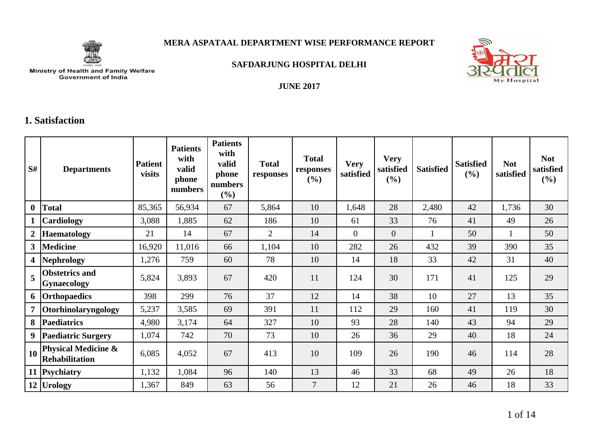

### **MERA ASPATAAL DEPARTMENT WISE PERFORMANCE REPORT**



**SAFDARJUNG HOSPITAL DELHI**

# Ministry of Health and Family Welfare<br>Government of India

#### **JUNE 2017**

### **1. Satisfaction**

| S#             | <b>Departments</b>                                      | <b>Patient</b><br>visits | <b>Patients</b><br>with<br>valid<br>phone<br>numbers | <b>Patients</b><br>with<br>valid<br>phone<br>numbers<br>(%) | <b>Total</b><br>responses | <b>Total</b><br>responses<br>(%) | <b>Very</b><br>satisfied | <b>Very</b><br>satisfied<br>(%) | <b>Satisfied</b> | <b>Satisfied</b><br>$(\%)$ | <b>Not</b><br>satisfied | <b>Not</b><br>satisfied<br>$(\%)$ |
|----------------|---------------------------------------------------------|--------------------------|------------------------------------------------------|-------------------------------------------------------------|---------------------------|----------------------------------|--------------------------|---------------------------------|------------------|----------------------------|-------------------------|-----------------------------------|
| $\bf{0}$       | <b>Total</b>                                            | 85,365                   | 56,934                                               | 67                                                          | 5,864                     | 10                               | 1,648                    | 28                              | 2,480            | 42                         | 1,736                   | 30                                |
|                | Cardiology                                              | 3,088                    | 1,885                                                | 62                                                          | 186                       | 10                               | 61                       | 33                              | 76               | 41                         | 49                      | 26                                |
| $\overline{2}$ | <b>Haematology</b>                                      | 21                       | 14                                                   | 67                                                          | $\overline{2}$            | 14                               | $\overline{0}$           | $\overline{0}$                  |                  | 50                         |                         | 50                                |
| 3 <sup>1</sup> | <b>Medicine</b>                                         | 16,920                   | 11,016                                               | 66                                                          | 1,104                     | 10                               | 282                      | 26                              | 432              | 39                         | 390                     | 35                                |
| 4 <sup>1</sup> | <b>Nephrology</b>                                       | 1,276                    | 759                                                  | 60                                                          | 78                        | 10                               | 14                       | 18                              | 33               | 42                         | 31                      | 40                                |
| 5              | <b>Obstetrics and</b><br><b>Gynaecology</b>             | 5,824                    | 3,893                                                | 67                                                          | 420                       | 11                               | 124                      | 30                              | 171              | 41                         | 125                     | 29                                |
| 6              | <b>Orthopaedics</b>                                     | 398                      | 299                                                  | 76                                                          | 37                        | 12                               | 14                       | 38                              | 10               | 27                         | 13                      | 35                                |
| $\overline{7}$ | Otorhinolaryngology                                     | 5,237                    | 3,585                                                | 69                                                          | 391                       | 11                               | 112                      | 29                              | 160              | 41                         | 119                     | 30                                |
| 8              | <b>Paediatrics</b>                                      | 4,980                    | 3,174                                                | 64                                                          | 327                       | 10                               | 93                       | 28                              | 140              | 43                         | 94                      | 29                                |
| 9 <sup>1</sup> | Paediatric Surgery                                      | 1,074                    | 742                                                  | 70                                                          | 73                        | 10                               | 26                       | 36                              | 29               | 40                         | 18                      | 24                                |
| 10             | <b>Physical Medicine &amp;</b><br><b>Rehabilitation</b> | 6,085                    | 4,052                                                | 67                                                          | 413                       | 10                               | 109                      | 26                              | 190              | 46                         | 114                     | 28                                |
|                | 11 Psychiatry                                           | 1,132                    | 1,084                                                | 96                                                          | 140                       | 13                               | 46                       | 33                              | 68               | 49                         | 26                      | 18                                |
|                | 12 Urology                                              | 1,367                    | 849                                                  | 63                                                          | 56                        | $\overline{7}$                   | 12                       | 21                              | 26               | 46                         | 18                      | 33                                |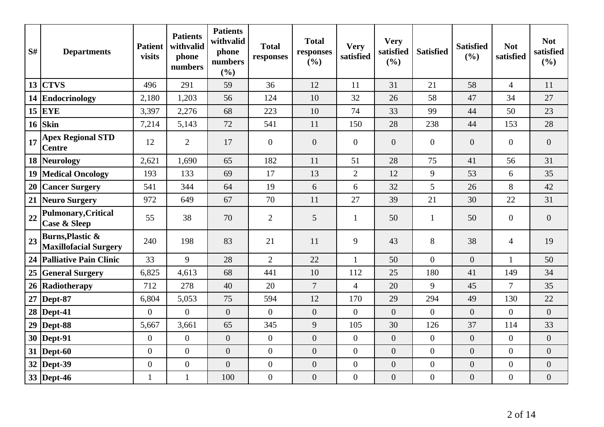| S#               | <b>Departments</b>                                          | <b>Patient</b><br>visits | <b>Patients</b><br>withvalid<br>phone<br>numbers | <b>Patients</b><br>withvalid<br>phone<br>numbers<br>(%) | <b>Total</b><br>responses | <b>Total</b><br>responses<br>(%) | <b>Very</b><br>satisfied | <b>Very</b><br>satisfied<br>(%) | <b>Satisfied</b> | <b>Satisfied</b><br>(%) | <b>Not</b><br>satisfied | <b>Not</b><br>satisfied<br>(%) |
|------------------|-------------------------------------------------------------|--------------------------|--------------------------------------------------|---------------------------------------------------------|---------------------------|----------------------------------|--------------------------|---------------------------------|------------------|-------------------------|-------------------------|--------------------------------|
| 13 <sup>13</sup> | <b>CTVS</b>                                                 | 496                      | 291                                              | 59                                                      | 36                        | 12                               | 11                       | 31                              | 21               | 58                      | $\overline{4}$          | 11                             |
|                  | 14 Endocrinology                                            | 2,180                    | 1,203                                            | 56                                                      | 124                       | 10                               | 32                       | 26                              | 58               | 47                      | 34                      | 27                             |
| 15 <sup>15</sup> | <b>EYE</b>                                                  | 3,397                    | 2,276                                            | 68                                                      | 223                       | 10                               | 74                       | 33                              | 99               | 44                      | 50                      | 23                             |
| 16               | <b>Skin</b>                                                 | 7,214                    | 5,143                                            | 72                                                      | 541                       | 11                               | 150                      | 28                              | 238              | 44                      | 153                     | 28                             |
| 17               | <b>Apex Regional STD</b><br><b>Centre</b>                   | 12                       | $\overline{2}$                                   | 17                                                      | $\overline{0}$            | $\overline{0}$                   | $\overline{0}$           | $\overline{0}$                  | $\theta$         | $\overline{0}$          | $\overline{0}$          | $\overline{0}$                 |
| $18 \mid$        | Neurology                                                   | 2,621                    | 1,690                                            | 65                                                      | 182                       | 11                               | 51                       | 28                              | 75               | 41                      | 56                      | 31                             |
| 19 <sup>°</sup>  | <b>Medical Oncology</b>                                     | 193                      | 133                                              | 69                                                      | 17                        | 13                               | $\mathbf{2}$             | 12                              | 9                | 53                      | 6                       | 35                             |
| 20               | <b>Cancer Surgery</b>                                       | 541                      | 344                                              | 64                                                      | 19                        | 6                                | 6                        | 32                              | 5                | 26                      | 8                       | 42                             |
| $21 \mid$        | Neuro Surgery                                               | 972                      | 649                                              | 67                                                      | 70                        | 11                               | 27                       | 39                              | 21               | 30                      | 22                      | 31                             |
| 22               | <b>Pulmonary, Critical</b><br><b>Case &amp; Sleep</b>       | 55                       | 38                                               | 70                                                      | $\overline{2}$            | 5                                | $\mathbf{1}$             | 50                              | $\mathbf{1}$     | 50                      | $\theta$                | $\overline{0}$                 |
| 23               | <b>Burns, Plastic &amp;</b><br><b>Maxillofacial Surgery</b> | 240                      | 198                                              | 83                                                      | 21                        | 11                               | 9                        | 43                              | 8                | 38                      | $\overline{4}$          | 19                             |
|                  | 24 Palliative Pain Clinic                                   | 33                       | 9                                                | 28                                                      | $\overline{2}$            | 22                               | $\mathbf{1}$             | 50                              | $\Omega$         | $\overline{0}$          | $\mathbf{1}$            | 50                             |
|                  | 25 General Surgery                                          | 6,825                    | 4,613                                            | 68                                                      | 441                       | 10                               | 112                      | 25                              | 180              | 41                      | 149                     | 34                             |
| 26               | Radiotherapy                                                | 712                      | 278                                              | 40                                                      | 20                        | $\overline{7}$                   | $\overline{4}$           | 20                              | 9                | 45                      | $\overline{7}$          | 35                             |
| 27               | Dept-87                                                     | 6,804                    | 5,053                                            | 75                                                      | 594                       | 12                               | 170                      | 29                              | 294              | 49                      | 130                     | 22                             |
|                  | 28   Dept-41                                                | $\overline{0}$           | $\overline{0}$                                   | $\overline{0}$                                          | $\Omega$                  | $\overline{0}$                   | $\overline{0}$           | $\overline{0}$                  | $\Omega$         | $\overline{0}$          | $\overline{0}$          | $\overline{0}$                 |
|                  | $29$ Dept-88                                                | 5,667                    | 3,661                                            | 65                                                      | 345                       | 9                                | 105                      | 30                              | 126              | 37                      | 114                     | 33                             |
|                  | 30   Dept-91                                                | $\overline{0}$           | $\overline{0}$                                   | $\overline{0}$                                          | $\overline{0}$            | $\overline{0}$                   | $\boldsymbol{0}$         | $\overline{0}$                  | $\overline{0}$   | $\boldsymbol{0}$        | $\overline{0}$          | $\overline{0}$                 |
|                  | $31$ Dept-60                                                | $\overline{0}$           | $\overline{0}$                                   | $\overline{0}$                                          | $\overline{0}$            | $\overline{0}$                   | $\overline{0}$           | $\overline{0}$                  | $\overline{0}$   | $\overline{0}$          | $\overline{0}$          | $\overline{0}$                 |
|                  | 32 Dept-39                                                  | $\overline{0}$           | $\boldsymbol{0}$                                 | $\overline{0}$                                          | $\overline{0}$            | $\overline{0}$                   | $\boldsymbol{0}$         | $\overline{0}$                  | $\overline{0}$   | $\overline{0}$          | $\overline{0}$          | $\overline{0}$                 |
|                  | 33 Dept-46                                                  | $\mathbf{1}$             | $\mathbf{1}$                                     | 100                                                     | $\boldsymbol{0}$          | $\overline{0}$                   | $\boldsymbol{0}$         | $\boldsymbol{0}$                | $\boldsymbol{0}$ | $\boldsymbol{0}$        | $\overline{0}$          | $\overline{0}$                 |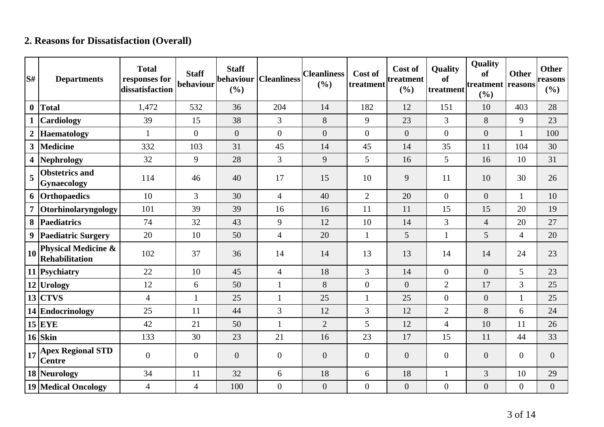# **2. Reasons for Dissatisfaction (Overall)**

| S#               | <b>Departments</b>                                      | <b>Total</b><br>responses for<br>dissatisfaction | <b>Staff</b><br>behaviour | <b>Staff</b><br>behaviour<br>(%) | <b>Cleanliness</b> | <b>Cleanliness</b><br>(%) | Cost of<br>treatment | Cost of<br>treatment<br>(%) | <b>Quality</b><br><b>of</b><br>treatment | Quality<br><b>of</b><br>treatment reasons<br>(%) | <b>Other</b>     | <b>Other</b><br>reasons<br>(%) |
|------------------|---------------------------------------------------------|--------------------------------------------------|---------------------------|----------------------------------|--------------------|---------------------------|----------------------|-----------------------------|------------------------------------------|--------------------------------------------------|------------------|--------------------------------|
| $\bf{0}$         | <b>Total</b>                                            | 1,472                                            | 532                       | 36                               | 204                | 14                        | 182                  | 12                          | 151                                      | 10                                               | 403              | 28                             |
|                  | Cardiology                                              | 39                                               | 15                        | 38                               | $\overline{3}$     | 8                         | 9                    | 23                          | $\overline{3}$                           | 8                                                | 9                | 23                             |
| $\boldsymbol{2}$ | Haematology                                             | $\mathbf{1}$                                     | $\overline{0}$            | $\overline{0}$                   | $\overline{0}$     | $\overline{0}$            | $\Omega$             | $\overline{0}$              | $\overline{0}$                           | $\overline{0}$                                   | $\mathbf{1}$     | 100                            |
| $\mathbf{3}$     | <b>Medicine</b>                                         | 332                                              | 103                       | 31                               | 45                 | 14                        | 45                   | 14                          | 35                                       | 11                                               | 104              | 30                             |
| 4                | Nephrology                                              | 32                                               | 9                         | 28                               | $\overline{3}$     | 9                         | 5                    | 16                          | 5                                        | 16                                               | 10               | 31                             |
| 5                | <b>Obstetrics and</b><br>Gynaecology                    | 114                                              | 46                        | 40                               | 17                 | 15                        | 10                   | 9                           | 11                                       | 10                                               | 30               | 26                             |
| 6                | Orthopaedics                                            | 10                                               | 3                         | 30                               | $\overline{4}$     | 40                        | $\overline{2}$       | 20                          | $\overline{0}$                           | $\overline{0}$                                   | $\mathbf{1}$     | 10                             |
| 7                | Otorhinolaryngology                                     | 101                                              | 39                        | 39                               | 16                 | 16                        | 11                   | 11                          | 15                                       | 15                                               | 20               | 19                             |
| 8                | Paediatrics                                             | 74                                               | 32                        | 43                               | 9                  | 12                        | 10                   | 14                          | 3                                        | $\overline{4}$                                   | 20               | 27                             |
| 9                | <b>Paediatric Surgery</b>                               | 20                                               | 10                        | 50                               | $\overline{4}$     | 20                        | $\mathbf{1}$         | 5                           | $\mathbf{1}$                             | 5                                                | $\overline{4}$   | 20                             |
| 10               | <b>Physical Medicine &amp;</b><br><b>Rehabilitation</b> | 102                                              | 37                        | 36                               | 14                 | 14                        | 13                   | 13                          | 14                                       | 14                                               | 24               | 23                             |
|                  | 11 Psychiatry                                           | 22                                               | 10                        | 45                               | $\overline{4}$     | 18                        | $\overline{3}$       | 14                          | $\overline{0}$                           | $\overline{0}$                                   | 5                | 23                             |
|                  | $12$ Urology                                            | 12                                               | 6                         | 50                               | $\mathbf{1}$       | 8                         | $\Omega$             | $\overline{0}$              | $\overline{2}$                           | 17                                               | 3                | 25                             |
|                  | $13$ CTVS                                               | $\overline{4}$                                   | $\mathbf{1}$              | 25                               | $\mathbf{1}$       | 25                        | $\mathbf{1}$         | 25                          | $\overline{0}$                           | $\overline{0}$                                   | $\mathbf{1}$     | 25                             |
|                  | 14 Endocrinology                                        | 25                                               | 11                        | 44                               | 3                  | 12                        | 3                    | 12                          | $\overline{2}$                           | 8                                                | 6                | 24                             |
|                  | $15$ EYE                                                | 42                                               | 21                        | 50                               | 1                  | $\overline{2}$            | 5                    | 12                          | $\overline{4}$                           | 10                                               | 11               | 26                             |
|                  | $16$ Skin                                               | 133                                              | 30                        | 23                               | 21                 | 16                        | 23                   | 17                          | 15                                       | 11                                               | 44               | 33                             |
| 17               | <b>Apex Regional STD</b><br><b>Centre</b>               | $\overline{0}$                                   | $\overline{0}$            | $\overline{0}$                   | $\overline{0}$     | $\overline{0}$            | $\overline{0}$       | $\overline{0}$              | $\overline{0}$                           | $\overline{0}$                                   | $\overline{0}$   | $\overline{0}$                 |
|                  | 18 Neurology                                            | 34                                               | 11                        | 32                               | 6                  | 18                        | 6                    | 18                          |                                          | 3                                                | 10               | 29                             |
|                  | <b>19 Medical Oncology</b>                              | $\overline{4}$                                   | $\overline{4}$            | 100                              | $\overline{0}$     | $\boldsymbol{0}$          | $\overline{0}$       | $\boldsymbol{0}$            | $\boldsymbol{0}$                         | $\overline{0}$                                   | $\boldsymbol{0}$ | $\boldsymbol{0}$               |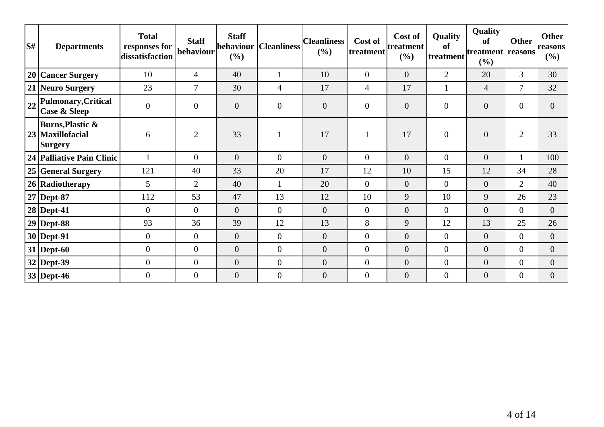| S# | <b>Departments</b>                                                | <b>Total</b><br>responses for<br>dissatisfaction | <b>Staff</b><br> behaviour | <b>Staff</b><br>behaviour  <br>(%) | Cleanliness    | <b>Cleanliness</b><br>$(\%)$ | Cost of<br>treatment | Cost of<br>treatment<br>(%) | Quality<br>of<br>treatment | Quality<br>of<br>treatment reasons<br>(%) | <b>Other</b>     | <b>Other</b><br>reasons<br>$(\%)$ |
|----|-------------------------------------------------------------------|--------------------------------------------------|----------------------------|------------------------------------|----------------|------------------------------|----------------------|-----------------------------|----------------------------|-------------------------------------------|------------------|-----------------------------------|
|    | 20 Cancer Surgery                                                 | 10                                               | $\overline{4}$             | 40                                 |                | 10                           | $\overline{0}$       | $\overline{0}$              | $\overline{2}$             | 20                                        | $\mathfrak{Z}$   | 30                                |
|    | 21 Neuro Surgery                                                  | 23                                               | 7                          | 30                                 | 4              | 17                           | 4                    | 17                          |                            | $\overline{4}$                            | 7                | 32                                |
| 22 | Pulmonary, Critical<br>Case & Sleep                               | $\boldsymbol{0}$                                 | $\overline{0}$             | $\boldsymbol{0}$                   | $\overline{0}$ | $\boldsymbol{0}$             | $\boldsymbol{0}$     | $\mathbf{0}$                | $\overline{0}$             | $\boldsymbol{0}$                          | $\overline{0}$   | $\overline{0}$                    |
|    | <b>Burns, Plastic &amp;</b><br>23 Maxillofacial<br><b>Surgery</b> | 6                                                | $\overline{2}$             | 33                                 |                | 17                           |                      | 17                          | $\overline{0}$             | $\boldsymbol{0}$                          | $\overline{2}$   | 33                                |
|    | 24 Palliative Pain Clinic                                         |                                                  | $\overline{0}$             | $\overline{0}$                     | $\overline{0}$ | $\overline{0}$               | $\overline{0}$       | $\overline{0}$              | $\overline{0}$             | $\overline{0}$                            | 1                | 100                               |
|    | 25 General Surgery                                                | 121                                              | 40                         | 33                                 | 20             | 17                           | 12                   | 10                          | 15                         | 12                                        | 34               | 28                                |
|    | 26 Radiotherapy                                                   | 5                                                | $\overline{2}$             | 40                                 |                | 20                           | $\overline{0}$       | $\mathbf{0}$                | $\overline{0}$             | $\overline{0}$                            | $\overline{2}$   | 40                                |
|    | 27 Dept-87                                                        | 112                                              | 53                         | 47                                 | 13             | 12                           | 10                   | 9                           | 10                         | 9                                         | 26               | 23                                |
|    | 28 Dept-41                                                        | $\overline{0}$                                   | $\theta$                   | $\overline{0}$                     | $\overline{0}$ | $\overline{0}$               | $\overline{0}$       | $\mathbf{0}$                | $\overline{0}$             | $\overline{0}$                            | $\overline{0}$   | $\overline{0}$                    |
|    | $29$ Dept-88                                                      | 93                                               | 36                         | 39                                 | 12             | 13                           | 8                    | 9                           | 12                         | 13                                        | 25               | 26                                |
|    | $30$ Dept-91                                                      | $\overline{0}$                                   | $\overline{0}$             | $\overline{0}$                     | $\overline{0}$ | $\overline{0}$               | $\overline{0}$       | $\overline{0}$              | $\overline{0}$             | $\overline{0}$                            | $\overline{0}$   | $\overline{0}$                    |
|    | $31$ Dept-60                                                      | $\boldsymbol{0}$                                 | $\theta$                   | $\overline{0}$                     | $\overline{0}$ | $\overline{0}$               | $\overline{0}$       | $\overline{0}$              | $\overline{0}$             | $\overline{0}$                            | $\overline{0}$   | $\overline{0}$                    |
|    | $32$ Dept-39                                                      | $\boldsymbol{0}$                                 | $\mathbf{0}$               | $\boldsymbol{0}$                   | $\overline{0}$ | $\boldsymbol{0}$             | $\overline{0}$       | $\overline{0}$              | $\overline{0}$             | $\boldsymbol{0}$                          | $\overline{0}$   | $\overline{0}$                    |
|    | 33 Dept-46                                                        | $\overline{0}$                                   | $\overline{0}$             | $\overline{0}$                     | $\overline{0}$ | $\overline{0}$               | $\overline{0}$       | $\boldsymbol{0}$            | $\overline{0}$             | $\boldsymbol{0}$                          | $\boldsymbol{0}$ | $\overline{0}$                    |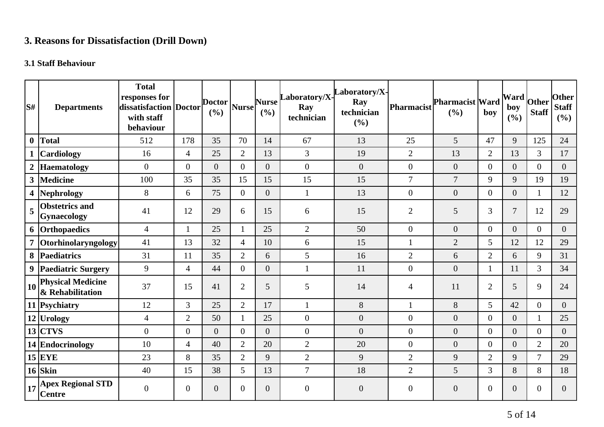# **3. Reasons for Dissatisfaction (Drill Down)**

# **3.1 Staff Behaviour**

| lS#              | <b>Departments</b>                                | <b>Total</b><br>responses for<br>dissatisfaction Doctor<br>with staff<br>behaviour |                  | <b>Doctor</b><br>(%) | <b>Nurse</b>   | <b>Nurse</b><br>(%) | Laboratory/X-<br>Ray<br>technician | aboratory/X-<br>Ray<br>technician<br>(%) | Pharmacist       | <b>Pharmacist Ward</b><br>(%) | boy            | Ward<br>boy<br>(%) | Other<br><b>Staff</b> | <b>Other</b><br><b>Staff</b><br>(%) |
|------------------|---------------------------------------------------|------------------------------------------------------------------------------------|------------------|----------------------|----------------|---------------------|------------------------------------|------------------------------------------|------------------|-------------------------------|----------------|--------------------|-----------------------|-------------------------------------|
| $\boldsymbol{0}$ | Total                                             | 512                                                                                | 178              | 35                   | 70             | 14                  | 67                                 | 13                                       | 25               | 5                             | 47             | 9                  | 125                   | 24                                  |
|                  | <b>Cardiology</b>                                 | 16                                                                                 | $\overline{4}$   | 25                   | $\overline{2}$ | 13                  | 3                                  | 19                                       | $\overline{2}$   | 13                            | $\overline{2}$ | 13                 | 3                     | 17                                  |
| $\boldsymbol{2}$ | <b>Haematology</b>                                | $\boldsymbol{0}$                                                                   | $\boldsymbol{0}$ | $\overline{0}$       | $\overline{0}$ | $\overline{0}$      | $\boldsymbol{0}$                   | $\overline{0}$                           | $\boldsymbol{0}$ | $\boldsymbol{0}$              | $\overline{0}$ | $\boldsymbol{0}$   | $\overline{0}$        | $\overline{0}$                      |
| $\mathbf{3}$     | Medicine                                          | 100                                                                                | 35               | 35                   | 15             | 15                  | 15                                 | 15                                       | $\overline{7}$   | $\overline{7}$                | 9              | 9                  | 19                    | 19                                  |
|                  | 4 Nephrology                                      | 8                                                                                  | 6                | 75                   | $\overline{0}$ | $\overline{0}$      | $\mathbf{1}$                       | 13                                       | $\overline{0}$   | $\boldsymbol{0}$              | $\overline{0}$ | $\overline{0}$     | 1                     | 12                                  |
| 5                | <b>Obstetrics and</b><br><b>Gynaecology</b>       | 41                                                                                 | 12               | 29                   | 6              | 15                  | 6                                  | 15                                       | $\overline{2}$   | 5                             | 3              | $\overline{7}$     | 12                    | 29                                  |
|                  | 6 Orthopaedics                                    | $\overline{4}$                                                                     |                  | 25                   | 1              | 25                  | $\overline{2}$                     | 50                                       | $\overline{0}$   | $\overline{0}$                | $\overline{0}$ | $\overline{0}$     | $\overline{0}$        | $\overline{0}$                      |
|                  | Otorhinolaryngology                               | 41                                                                                 | 13               | 32                   | $\overline{4}$ | 10                  | 6                                  | 15                                       | $\mathbf{1}$     | $\overline{2}$                | 5              | 12                 | 12                    | 29                                  |
|                  | 8 Paediatrics                                     | 31                                                                                 | 11               | 35                   | $\overline{2}$ | 6                   | 5                                  | 16                                       | $\mathbf{2}$     | 6                             | $\overline{2}$ | 6                  | 9                     | 31                                  |
|                  | 9 Paediatric Surgery                              | 9                                                                                  | $\overline{4}$   | 44                   | $\Omega$       | $\overline{0}$      | $\mathbf{1}$                       | 11                                       | $\boldsymbol{0}$ | $\overline{0}$                | $\mathbf{1}$   | 11                 | 3                     | 34                                  |
| 10 <sup>1</sup>  | <b>Physical Medicine</b><br>& Rehabilitation      | 37                                                                                 | 15               | 41                   | $\overline{2}$ | 5                   | 5                                  | 14                                       | $\overline{4}$   | 11                            | $\overline{2}$ | 5                  | 9                     | 24                                  |
|                  | 11 Psychiatry                                     | 12                                                                                 | 3                | 25                   | $\overline{2}$ | 17                  | $\mathbf{1}$                       | 8                                        |                  | 8                             | 5              | 42                 | $\overline{0}$        | $\overline{0}$                      |
|                  | 12 Urology                                        | $\overline{4}$                                                                     | $\overline{2}$   | 50                   | 1              | 25                  | $\boldsymbol{0}$                   | $\overline{0}$                           | $\overline{0}$   | $\overline{0}$                | $\overline{0}$ | $\overline{0}$     | $\mathbf{1}$          | 25                                  |
|                  | $13$ CTVS                                         | $\boldsymbol{0}$                                                                   | $\overline{0}$   | $\overline{0}$       | $\Omega$       | $\overline{0}$      | $\boldsymbol{0}$                   | $\overline{0}$                           | $\overline{0}$   | $\overline{0}$                | $\overline{0}$ | $\overline{0}$     | $\overline{0}$        | $\overline{0}$                      |
|                  | 14 Endocrinology                                  | 10                                                                                 | $\overline{4}$   | 40                   | $\overline{2}$ | 20                  | $\mathbf{2}$                       | 20                                       | $\overline{0}$   | $\boldsymbol{0}$              | $\overline{0}$ | $\overline{0}$     | $\overline{2}$        | 20                                  |
|                  | $15$ EYE                                          | 23                                                                                 | 8                | 35                   | $\overline{2}$ | 9                   | $\mathbf{2}$                       | 9                                        | $\overline{2}$   | 9                             | $\overline{2}$ | 9                  | $\overline{7}$        | 29                                  |
|                  | $16$ Skin                                         | 40                                                                                 | 15               | 38                   | 5              | 13                  | $\overline{7}$                     | 18                                       | $\overline{2}$   | 5                             | $\overline{3}$ | 8                  | 8                     | 18                                  |
|                  | $\frac{1}{17}$ Apex Regional STD<br><b>Centre</b> | $\boldsymbol{0}$                                                                   | $\overline{0}$   | $\overline{0}$       | $\overline{0}$ | $\overline{0}$      | $\overline{0}$                     | $\overline{0}$                           | $\overline{0}$   | $\overline{0}$                | $\mathbf{0}$   | $\overline{0}$     | $\theta$              | $\overline{0}$                      |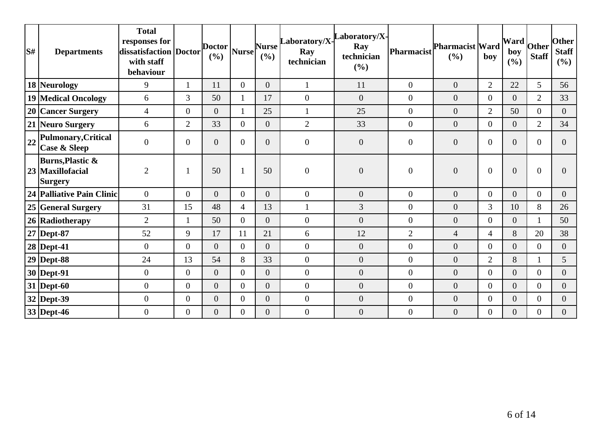| S# | <b>Departments</b>                                                | <b>Total</b><br>responses for<br>dissatisfaction   Doctor  <br>with staff<br>behaviour |                  | Doctor<br>(%)  | <b>Nurse</b>   | <b>Nurse</b><br>(%) | Ray<br>technician | $\begin{bmatrix} \text{Laboratory/X} \\ \end{bmatrix}$<br>Ray<br>technician<br>(%) | <b>Pharmacist</b> | <b>Pharmacist Ward</b><br>(%) | boy            | $\frac{1}{2}$ [Ward $\frac{1}{2}$ other $\frac{1}{2}$<br>boy<br>(%) | <b>Staff</b>   | <b>Other</b><br><b>Staff</b><br>(%) |
|----|-------------------------------------------------------------------|----------------------------------------------------------------------------------------|------------------|----------------|----------------|---------------------|-------------------|------------------------------------------------------------------------------------|-------------------|-------------------------------|----------------|---------------------------------------------------------------------|----------------|-------------------------------------|
|    | 18 Neurology                                                      | 9                                                                                      |                  | 11             | $\overline{0}$ | $\overline{0}$      | $\mathbf{1}$      | 11                                                                                 | $\mathbf{0}$      | $\overline{0}$                | $\overline{2}$ | 22                                                                  | 5              | 56                                  |
|    | <b>19 Medical Oncology</b>                                        | 6                                                                                      | 3                | 50             | 1              | 17                  | $\overline{0}$    | $\overline{0}$                                                                     | $\overline{0}$    | $\overline{0}$                | $\overline{0}$ | $\overline{0}$                                                      | $\overline{2}$ | 33                                  |
|    | 20 Cancer Surgery                                                 | $\overline{4}$                                                                         | $\overline{0}$   | $\overline{0}$ | -1             | 25                  | $\mathbf{1}$      | 25                                                                                 | $\overline{0}$    | $\boldsymbol{0}$              | $\overline{2}$ | 50                                                                  | $\overline{0}$ | $\overline{0}$                      |
|    | 21 Neuro Surgery                                                  | 6                                                                                      | $\overline{2}$   | 33             | $\Omega$       | $\overline{0}$      | $\overline{2}$    | 33                                                                                 | $\mathbf{0}$      | $\overline{0}$                | $\overline{0}$ | $\overline{0}$                                                      | $\overline{2}$ | 34                                  |
| 22 | Pulmonary, Critical<br><b>Case &amp; Sleep</b>                    | $\boldsymbol{0}$                                                                       | $\overline{0}$   | $\overline{0}$ | $\overline{0}$ | $\overline{0}$      | $\boldsymbol{0}$  | $\boldsymbol{0}$                                                                   | $\overline{0}$    | $\boldsymbol{0}$              | $\overline{0}$ | $\overline{0}$                                                      | $\overline{0}$ | $\overline{0}$                      |
|    | <b>Burns, Plastic &amp;</b><br>23 Maxillofacial<br><b>Surgery</b> | $\overline{2}$                                                                         |                  | 50             | $\mathbf{1}$   | 50                  | $\boldsymbol{0}$  | $\overline{0}$                                                                     | $\boldsymbol{0}$  | $\overline{0}$                | $\overline{0}$ | $\overline{0}$                                                      | $\overline{0}$ | 0                                   |
|    | 24 Palliative Pain Clinic                                         | $\theta$                                                                               | $\overline{0}$   | $\Omega$       | $\Omega$       | $\Omega$            | $\overline{0}$    | $\overline{0}$                                                                     | $\overline{0}$    | $\overline{0}$                | $\overline{0}$ | $\overline{0}$                                                      | $\overline{0}$ | $\overline{0}$                      |
|    | 25 General Surgery                                                | 31                                                                                     | 15               | 48             | $\overline{4}$ | 13                  | $\mathbf{1}$      | 3                                                                                  | $\overline{0}$    | $\boldsymbol{0}$              | $\overline{3}$ | 10                                                                  | 8              | 26                                  |
|    | 26 Radiotherapy                                                   | $\overline{2}$                                                                         |                  | 50             | $\theta$       | $\overline{0}$      | $\boldsymbol{0}$  | $\overline{0}$                                                                     | $\boldsymbol{0}$  | $\overline{0}$                | $\overline{0}$ | $\overline{0}$                                                      |                | 50                                  |
|    | $27$ Dept-87                                                      | 52                                                                                     | 9                | 17             | 11             | 21                  | 6                 | 12                                                                                 | $\mathbf{2}$      | $\overline{4}$                | $\overline{4}$ | 8                                                                   | 20             | 38                                  |
|    | $28$ Dept-41                                                      | $\overline{0}$                                                                         | $\overline{0}$   | $\overline{0}$ | $\Omega$       | $\overline{0}$      | $\overline{0}$    | $\overline{0}$                                                                     | $\overline{0}$    | $\overline{0}$                | $\Omega$       | $\overline{0}$                                                      | $\overline{0}$ | $\overline{0}$                      |
|    | $29$ Dept-88                                                      | 24                                                                                     | 13               | 54             | 8              | 33                  | $\overline{0}$    | $\overline{0}$                                                                     | $\boldsymbol{0}$  | $\boldsymbol{0}$              | $\overline{2}$ | 8                                                                   |                | 5                                   |
|    | $30$ Dept-91                                                      | $\boldsymbol{0}$                                                                       | $\boldsymbol{0}$ | $\overline{0}$ | $\overline{0}$ | $\overline{0}$      | $\boldsymbol{0}$  | $\overline{0}$                                                                     | $\overline{0}$    | $\boldsymbol{0}$              | $\overline{0}$ | $\overline{0}$                                                      | $\overline{0}$ | $\overline{0}$                      |
|    | $31$ Dept-60                                                      | $\boldsymbol{0}$                                                                       | $\overline{0}$   | $\overline{0}$ | $\Omega$       | $\overline{0}$      | $\overline{0}$    | $\overline{0}$                                                                     | $\overline{0}$    | $\overline{0}$                | $\overline{0}$ | $\overline{0}$                                                      | $\theta$       | $\overline{0}$                      |
|    | 32 Dept-39                                                        | $\boldsymbol{0}$                                                                       | $\overline{0}$   | $\overline{0}$ | $\overline{0}$ | $\overline{0}$      | $\mathbf{0}$      | $\overline{0}$                                                                     | $\overline{0}$    | $\boldsymbol{0}$              | $\overline{0}$ | $\overline{0}$                                                      | $\overline{0}$ | $\overline{0}$                      |
|    | 33 Dept-46                                                        | $\boldsymbol{0}$                                                                       | $\boldsymbol{0}$ | $\overline{0}$ | $\overline{0}$ | $\overline{0}$      | $\boldsymbol{0}$  | $\boldsymbol{0}$                                                                   | $\boldsymbol{0}$  | $\boldsymbol{0}$              | $\overline{0}$ | $\overline{0}$                                                      | $\mathbf{0}$   | $\overline{0}$                      |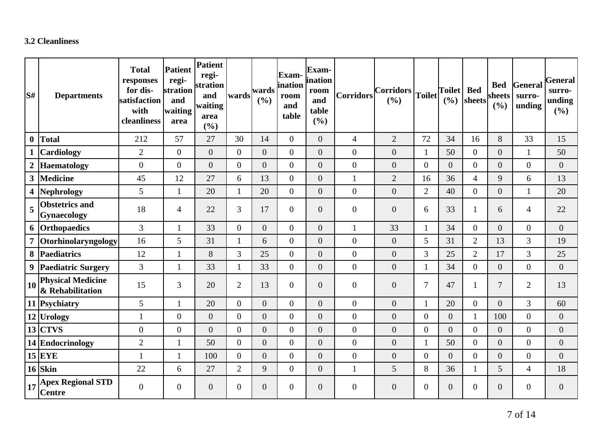### **3.2 Cleanliness**

| $\mathbf{S}^{\sharp}$ | <b>Departments</b>                           | <b>Total</b><br>responses<br>for dis-<br>satisfaction<br>with<br>cleanliness | <b>Patient</b><br>regi-<br>stration<br>and<br>waiting<br>area | Patient<br>regi-<br>stration<br>and<br>waiting<br>area<br>(%) | wards          | wards<br>(%)     | <b>Exam-</b><br>ination<br>room<br>and<br>table | Exam-<br>ination<br>room<br>and<br>table<br>(%) | <b>Corridors</b> | $ Corridors _{Toilet} $<br>(%) |                  | <b>Toilet</b><br>(%) | <b>Bed</b><br>sheets | <b>Bed</b><br>sheets<br>(9/0) | General<br>surro-<br>unding | General<br>surro-<br>unding<br>(%) |
|-----------------------|----------------------------------------------|------------------------------------------------------------------------------|---------------------------------------------------------------|---------------------------------------------------------------|----------------|------------------|-------------------------------------------------|-------------------------------------------------|------------------|--------------------------------|------------------|----------------------|----------------------|-------------------------------|-----------------------------|------------------------------------|
| $\boldsymbol{0}$      | <b>Total</b>                                 | 212                                                                          | 57                                                            | 27                                                            | 30             | 14               | $\overline{0}$                                  | $\overline{0}$                                  | $\overline{4}$   | $\overline{2}$                 | 72               | 34                   | 16                   | 8                             | 33                          | 15                                 |
|                       | Cardiology                                   | $\overline{2}$                                                               | $\overline{0}$                                                | $\overline{0}$                                                | $\overline{0}$ | $\overline{0}$   | $\overline{0}$                                  | $\overline{0}$                                  | $\mathbf{0}$     | $\overline{0}$                 | $\mathbf{1}$     | 50                   | $\overline{0}$       | $\boldsymbol{0}$              | $\mathbf{1}$                | 50                                 |
| $\boldsymbol{2}$      | <b>Haematology</b>                           | $\overline{0}$                                                               | $\overline{0}$                                                | $\overline{0}$                                                | $\overline{0}$ | $\overline{0}$   | $\overline{0}$                                  | $\overline{0}$                                  | $\mathbf{0}$     | $\boldsymbol{0}$               | $\overline{0}$   | $\overline{0}$       | $\overline{0}$       | $\boldsymbol{0}$              | $\overline{0}$              | $\overline{0}$                     |
| $\mathbf{3}$          | Medicine                                     | 45                                                                           | 12                                                            | 27                                                            | 6              | 13               | $\overline{0}$                                  | $\overline{0}$                                  | $\mathbf{1}$     | $\overline{2}$                 | 16               | 36                   | $\overline{4}$       | 9                             | 6                           | 13                                 |
| 4                     | Nephrology                                   | 5                                                                            | 1                                                             | 20                                                            | $\mathbf{1}$   | 20               | $\overline{0}$                                  | $\boldsymbol{0}$                                | $\overline{0}$   | $\boldsymbol{0}$               | $\overline{2}$   | 40                   | $\overline{0}$       | $\overline{0}$                | $\mathbf{1}$                | 20                                 |
| 5                     | <b>Obstetrics and</b><br>Gynaecology         | 18                                                                           | 4                                                             | 22                                                            | $\overline{3}$ | 17               | $\overline{0}$                                  | $\overline{0}$                                  | $\overline{0}$   | $\overline{0}$                 | 6                | 33                   | 1                    | 6                             | 4                           | 22                                 |
|                       | 6 Orthopaedics                               | $\overline{3}$                                                               | $\mathbf{1}$                                                  | 33                                                            | $\overline{0}$ | $\boldsymbol{0}$ | $\overline{0}$                                  | $\boldsymbol{0}$                                | $\mathbf{1}$     | 33                             | $\mathbf{1}$     | 34                   | $\overline{0}$       | $\overline{0}$                | $\overline{0}$              | $\boldsymbol{0}$                   |
| $\overline{7}$        | Otorhinolaryngology                          | 16                                                                           | 5                                                             | 31                                                            |                | 6                | $\overline{0}$                                  | $\overline{0}$                                  | $\boldsymbol{0}$ | $\overline{0}$                 | 5                | 31                   | $\overline{2}$       | 13                            | 3                           | 19                                 |
| 8                     | Paediatrics                                  | 12                                                                           | 1                                                             | 8                                                             | $\overline{3}$ | 25               | $\overline{0}$                                  | $\overline{0}$                                  | $\mathbf{0}$     | $\overline{0}$                 | 3                | 25                   | $\overline{2}$       | 17                            | 3                           | 25                                 |
| 9                     | <b>Paediatric Surgery</b>                    | $\overline{3}$                                                               | 1                                                             | 33                                                            |                | 33               | $\overline{0}$                                  | $\boldsymbol{0}$                                | $\overline{0}$   | $\overline{0}$                 | $\mathbf{1}$     | 34                   | $\overline{0}$       | $\boldsymbol{0}$              | $\overline{0}$              | $\boldsymbol{0}$                   |
| 10                    | <b>Physical Medicine</b><br>& Rehabilitation | 15                                                                           | 3                                                             | 20                                                            | $\overline{2}$ | 13               | $\overline{0}$                                  | $\boldsymbol{0}$                                | $\boldsymbol{0}$ | $\boldsymbol{0}$               | $\tau$           | 47                   | $\mathbf{1}$         | $\overline{7}$                | $\overline{2}$              | 13                                 |
|                       | 11 Psychiatry                                | 5                                                                            |                                                               | 20                                                            | $\Omega$       | $\overline{0}$   | $\overline{0}$                                  | $\overline{0}$                                  | $\overline{0}$   | $\overline{0}$                 | $\mathbf{1}$     | 20                   | $\overline{0}$       | $\overline{0}$                | 3                           | 60                                 |
|                       | 12 Urology                                   | $\mathbf{1}$                                                                 | $\overline{0}$                                                | $\overline{0}$                                                | $\overline{0}$ | $\overline{0}$   | $\overline{0}$                                  | $\overline{0}$                                  | $\overline{0}$   | $\overline{0}$                 | $\boldsymbol{0}$ | $\overline{0}$       | $\mathbf{1}$         | 100                           | $\overline{0}$              | $\mathbf{0}$                       |
|                       | $13$ CTVS                                    | $\overline{0}$                                                               | $\overline{0}$                                                | $\overline{0}$                                                | $\theta$       | $\overline{0}$   | $\overline{0}$                                  | $\overline{0}$                                  | $\overline{0}$   | $\overline{0}$                 | $\overline{0}$   | $\theta$             | $\overline{0}$       | $\overline{0}$                | $\overline{0}$              | $\boldsymbol{0}$                   |
|                       | 14 Endocrinology                             | $\overline{2}$                                                               | 1                                                             | 50                                                            | $\overline{0}$ | $\overline{0}$   | $\overline{0}$                                  | $\boldsymbol{0}$                                | $\overline{0}$   | $\boldsymbol{0}$               | $\mathbf{1}$     | 50                   | $\overline{0}$       | $\boldsymbol{0}$              | $\overline{0}$              | $\boldsymbol{0}$                   |
|                       | $15$ EYE                                     |                                                                              |                                                               | 100                                                           | $\overline{0}$ | $\overline{0}$   | $\overline{0}$                                  | $\overline{0}$                                  | $\boldsymbol{0}$ | $\overline{0}$                 | $\boldsymbol{0}$ | $\overline{0}$       | $\overline{0}$       | $\boldsymbol{0}$              | $\overline{0}$              | $\boldsymbol{0}$                   |
|                       | $16$ Skin                                    | 22                                                                           | 6                                                             | 27                                                            | $\overline{2}$ | 9                | $\overline{0}$                                  | $\boldsymbol{0}$                                | $\mathbf{1}$     | 5                              | 8                | 36                   | $\mathbf{1}$         | 5                             | $\overline{4}$              | 18                                 |
| 17                    | <b>Apex Regional STD</b><br><b>Centre</b>    | $\overline{0}$                                                               | $\overline{0}$                                                | $\overline{0}$                                                | $\overline{0}$ | $\overline{0}$   | $\overline{0}$                                  | $\overline{0}$                                  | $\boldsymbol{0}$ | $\overline{0}$                 | $\overline{0}$   | $\overline{0}$       | $\theta$             | $\boldsymbol{0}$              | $\overline{0}$              | $\overline{0}$                     |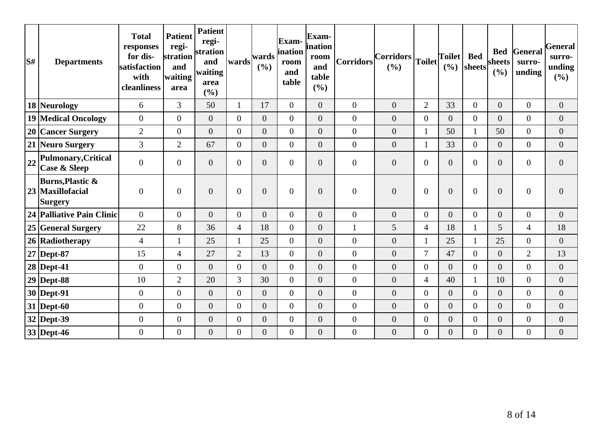| S# | <b>Departments</b>                                                | <b>Total</b><br>responses<br>for dis-<br>satisfaction<br>with<br>cleanliness | <b>Patient</b><br>regi-<br>stration<br>and<br>waiting<br>area | <b>Patient</b><br>regi-<br>stration<br>and<br>waiting<br>area<br>(%) | wards          | wards<br>(%)     | Exam-<br>ination<br>room<br>and<br>table | Exam-<br>ination<br>room<br>and<br>table<br>(%) | Corridors        | $ $ Corridors $ $ Toilet $ $<br>(%) |                  | <b>Toilet</b><br>(9/0) | <b>Bed</b><br>sheets | <b>Bed</b><br>sheets<br>(%) | General<br>surro-<br>unding | General<br>surro-<br>unding<br>(%) |
|----|-------------------------------------------------------------------|------------------------------------------------------------------------------|---------------------------------------------------------------|----------------------------------------------------------------------|----------------|------------------|------------------------------------------|-------------------------------------------------|------------------|-------------------------------------|------------------|------------------------|----------------------|-----------------------------|-----------------------------|------------------------------------|
|    | 18 Neurology                                                      | 6                                                                            | $\overline{3}$                                                | 50                                                                   |                | 17               | $\overline{0}$                           | $\overline{0}$                                  | $\overline{0}$   | $\overline{0}$                      | $\overline{2}$   | 33                     | $\overline{0}$       | $\boldsymbol{0}$            | $\overline{0}$              | $\boldsymbol{0}$                   |
|    | 19 Medical Oncology                                               | $\boldsymbol{0}$                                                             | $\overline{0}$                                                | $\overline{0}$                                                       | $\overline{0}$ | $\overline{0}$   | $\overline{0}$                           | $\overline{0}$                                  | $\overline{0}$   | $\overline{0}$                      | $\boldsymbol{0}$ | $\overline{0}$         | $\overline{0}$       | $\overline{0}$              | $\overline{0}$              | $\overline{0}$                     |
|    | 20 Cancer Surgery                                                 | $\overline{2}$                                                               | $\overline{0}$                                                | $\Omega$                                                             | $\Omega$       | $\overline{0}$   | $\overline{0}$                           | $\overline{0}$                                  | $\overline{0}$   | $\overline{0}$                      | 1                | 50                     |                      | 50                          | $\overline{0}$              | $\overline{0}$                     |
|    | 21 Neuro Surgery                                                  | 3                                                                            | $\overline{2}$                                                | 67                                                                   | $\overline{0}$ | $\overline{0}$   | $\overline{0}$                           | $\overline{0}$                                  | $\boldsymbol{0}$ | $\overline{0}$                      | $\mathbf{1}$     | 33                     | $\overline{0}$       | $\boldsymbol{0}$            | $\overline{0}$              | $\overline{0}$                     |
| 22 | Pulmonary, Critical<br><b>Case &amp; Sleep</b>                    | $\overline{0}$                                                               | $\theta$                                                      | $\overline{0}$                                                       | $\Omega$       | $\overline{0}$   | $\overline{0}$                           | $\overline{0}$                                  | $\overline{0}$   | $\overline{0}$                      | $\overline{0}$   | $\theta$               | $\Omega$             | $\overline{0}$              | $\overline{0}$              | $\overline{0}$                     |
|    | <b>Burns, Plastic &amp;</b><br>23 Maxillofacial<br><b>Surgery</b> | $\boldsymbol{0}$                                                             | $\overline{0}$                                                | $\overline{0}$                                                       | $\overline{0}$ | $\overline{0}$   | $\overline{0}$                           | $\overline{0}$                                  | $\boldsymbol{0}$ | $\overline{0}$                      | $\boldsymbol{0}$ | $\overline{0}$         | $\overline{0}$       | $\boldsymbol{0}$            | $\overline{0}$              | $\boldsymbol{0}$                   |
|    | 24 Palliative Pain Clinic                                         | $\boldsymbol{0}$                                                             | $\overline{0}$                                                | $\overline{0}$                                                       | $\overline{0}$ | $\overline{0}$   | $\overline{0}$                           | $\overline{0}$                                  | $\boldsymbol{0}$ | $\overline{0}$                      | $\boldsymbol{0}$ | $\overline{0}$         | $\overline{0}$       | $\boldsymbol{0}$            | $\overline{0}$              | $\boldsymbol{0}$                   |
|    | 25 General Surgery                                                | 22                                                                           | 8                                                             | 36                                                                   | $\overline{4}$ | 18               | $\overline{0}$                           | $\overline{0}$                                  |                  | 5                                   | $\overline{4}$   | 18                     |                      | 5                           | $\overline{4}$              | 18                                 |
|    | 26 Radiotherapy                                                   | $\overline{4}$                                                               |                                                               | 25                                                                   |                | 25               | $\overline{0}$                           | $\overline{0}$                                  | $\overline{0}$   | $\overline{0}$                      | $\mathbf{1}$     | 25                     | 1                    | 25                          | $\overline{0}$              | $\overline{0}$                     |
|    | 27 Dept-87                                                        | 15                                                                           | 4                                                             | 27                                                                   | $\overline{2}$ | 13               | $\overline{0}$                           | $\overline{0}$                                  | $\mathbf{0}$     | $\overline{0}$                      | $\overline{7}$   | 47                     | $\overline{0}$       | $\boldsymbol{0}$            | $\overline{2}$              | 13                                 |
|    | 28 Dept-41                                                        | $\overline{0}$                                                               | $\overline{0}$                                                | $\overline{0}$                                                       | $\overline{0}$ | $\overline{0}$   | $\overline{0}$                           | $\overline{0}$                                  | $\mathbf{0}$     | $\overline{0}$                      | $\boldsymbol{0}$ | $\theta$               | $\overline{0}$       | $\overline{0}$              | $\overline{0}$              | $\boldsymbol{0}$                   |
|    | $29$ Dept-88                                                      | 10                                                                           | $\overline{2}$                                                | 20                                                                   | 3              | 30               | $\overline{0}$                           | $\boldsymbol{0}$                                | $\boldsymbol{0}$ | $\overline{0}$                      | $\overline{4}$   | 40                     | $\mathbf{1}$         | 10                          | $\overline{0}$              | $\boldsymbol{0}$                   |
|    | 30 Dept-91                                                        | $\overline{0}$                                                               | $\theta$                                                      | $\overline{0}$                                                       | $\Omega$       | $\overline{0}$   | $\overline{0}$                           | $\overline{0}$                                  | $\theta$         | $\overline{0}$                      | $\overline{0}$   | $\theta$               | $\overline{0}$       | $\overline{0}$              | $\overline{0}$              | $\boldsymbol{0}$                   |
|    | $31$ Dept-60                                                      | $\boldsymbol{0}$                                                             | $\overline{0}$                                                | $\overline{0}$                                                       | $\overline{0}$ | $\boldsymbol{0}$ | $\overline{0}$                           | $\overline{0}$                                  | $\boldsymbol{0}$ | $\overline{0}$                      | $\boldsymbol{0}$ | $\overline{0}$         | $\overline{0}$       | $\boldsymbol{0}$            | $\overline{0}$              | $\boldsymbol{0}$                   |
|    | 32 Dept-39                                                        | $\overline{0}$                                                               | $\overline{0}$                                                | $\overline{0}$                                                       | $\overline{0}$ | $\boldsymbol{0}$ | $\overline{0}$                           | $\overline{0}$                                  | $\boldsymbol{0}$ | $\boldsymbol{0}$                    | $\boldsymbol{0}$ | $\overline{0}$         | $\overline{0}$       | $\boldsymbol{0}$            | $\overline{0}$              | $\boldsymbol{0}$                   |
|    | 33 Dept-46                                                        | $\boldsymbol{0}$                                                             | $\overline{0}$                                                | $\overline{0}$                                                       | $\overline{0}$ | $\overline{0}$   | $\overline{0}$                           | $\boldsymbol{0}$                                | $\boldsymbol{0}$ | $\overline{0}$                      | $\boldsymbol{0}$ | $\overline{0}$         | $\overline{0}$       | $\boldsymbol{0}$            | $\overline{0}$              | $\boldsymbol{0}$                   |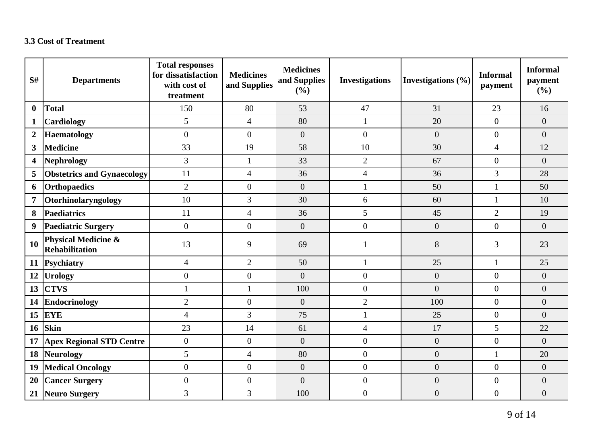### **3.3 Cost of Treatment**

| S#                      | <b>Departments</b>                                      | <b>Total responses</b><br>for dissatisfaction<br>with cost of<br>treatment | <b>Medicines</b><br>and Supplies | <b>Medicines</b><br>and Supplies<br>(%) | <b>Investigations</b> | Investigations $(\% )$ | <b>Informal</b><br>payment | <b>Informal</b><br>payment<br>(%) |
|-------------------------|---------------------------------------------------------|----------------------------------------------------------------------------|----------------------------------|-----------------------------------------|-----------------------|------------------------|----------------------------|-----------------------------------|
| $\bf{0}$                | <b>Total</b>                                            | 150                                                                        | 80                               | 53                                      | 47                    | 31                     | 23                         | 16                                |
| $\mathbf{1}$            | Cardiology                                              | 5                                                                          | $\overline{4}$                   | 80                                      | $\mathbf{1}$          | 20                     | $\overline{0}$             | $\overline{0}$                    |
| $\boldsymbol{2}$        | <b>Haematology</b>                                      | $\boldsymbol{0}$                                                           | $\overline{0}$                   | $\boldsymbol{0}$                        | $\overline{0}$        | $\overline{0}$         | $\theta$                   | $\overline{0}$                    |
| $\overline{\mathbf{3}}$ | <b>Medicine</b>                                         | 33                                                                         | 19                               | 58                                      | 10                    | 30                     | $\overline{4}$             | 12                                |
| 4                       | <b>Nephrology</b>                                       | $\overline{3}$                                                             | $\mathbf{1}$                     | 33                                      | $\overline{2}$        | 67                     | $\overline{0}$             | $\overline{0}$                    |
| 5                       | <b>Obstetrics and Gynaecology</b>                       | 11                                                                         | $\overline{4}$                   | 36                                      | $\overline{4}$        | 36                     | 3                          | 28                                |
| 6                       | <b>Orthopaedics</b>                                     | $\mathbf{2}$                                                               | $\boldsymbol{0}$                 | $\boldsymbol{0}$                        | $\mathbf{1}$          | 50                     | $\mathbf{1}$               | 50                                |
| $\overline{7}$          | Otorhinolaryngology                                     | 10                                                                         | 3                                | 30                                      | 6                     | 60                     | $\mathbf{1}$               | 10                                |
| 8                       | <b>Paediatrics</b>                                      | 11                                                                         | $\overline{4}$                   | 36                                      | 5                     | 45                     | $\overline{2}$             | 19                                |
| 9                       | <b>Paediatric Surgery</b>                               | $\overline{0}$                                                             | $\overline{0}$                   | $\overline{0}$                          | $\overline{0}$        | $\overline{0}$         | $\overline{0}$             | $\overline{0}$                    |
| 10                      | <b>Physical Medicine &amp;</b><br><b>Rehabilitation</b> | 13                                                                         | 9                                | 69                                      |                       | 8                      | 3                          | 23                                |
| <b>11</b>               | Psychiatry                                              | $\overline{4}$                                                             | $\overline{2}$                   | 50                                      | $\mathbf{1}$          | 25                     | 1                          | 25                                |
| 12                      | <b>Urology</b>                                          | $\overline{0}$                                                             | $\overline{0}$                   | $\overline{0}$                          | $\boldsymbol{0}$      | $\overline{0}$         | $\overline{0}$             | $\overline{0}$                    |
| 13                      | <b>CTVS</b>                                             | $\mathbf{1}$                                                               | $\mathbf{1}$                     | 100                                     | $\overline{0}$        | $\overline{0}$         | $\overline{0}$             | $\overline{0}$                    |
| 14                      | <b>Endocrinology</b>                                    | $\overline{2}$                                                             | $\overline{0}$                   | $\boldsymbol{0}$                        | $\overline{2}$        | 100                    | $\overline{0}$             | $\overline{0}$                    |
| 15                      | <b>EYE</b>                                              | $\overline{4}$                                                             | $\overline{3}$                   | 75                                      | $\mathbf{1}$          | 25                     | $\overline{0}$             | $\overline{0}$                    |
| 16                      | <b>Skin</b>                                             | 23                                                                         | 14                               | 61                                      | $\overline{4}$        | 17                     | 5                          | 22                                |
| 17                      | <b>Apex Regional STD Centre</b>                         | $\boldsymbol{0}$                                                           | $\overline{0}$                   | $\overline{0}$                          | $\overline{0}$        | $\boldsymbol{0}$       | $\overline{0}$             | $\overline{0}$                    |
| 18                      | <b>Neurology</b>                                        | 5                                                                          | $\overline{4}$                   | 80                                      | $\overline{0}$        | $\overline{0}$         | $\mathbf{1}$               | 20                                |
| 19                      | <b>Medical Oncology</b>                                 | $\boldsymbol{0}$                                                           | $\overline{0}$                   | $\boldsymbol{0}$                        | $\overline{0}$        | $\boldsymbol{0}$       | $\overline{0}$             | $\overline{0}$                    |
| 20                      | <b>Cancer Surgery</b>                                   | $\boldsymbol{0}$                                                           | $\boldsymbol{0}$                 | $\boldsymbol{0}$                        | $\overline{0}$        | $\boldsymbol{0}$       | $\overline{0}$             | $\overline{0}$                    |
| 21                      | Neuro Surgery                                           | $\overline{3}$                                                             | 3                                | 100                                     | $\overline{0}$        | $\overline{0}$         | $\overline{0}$             | $\overline{0}$                    |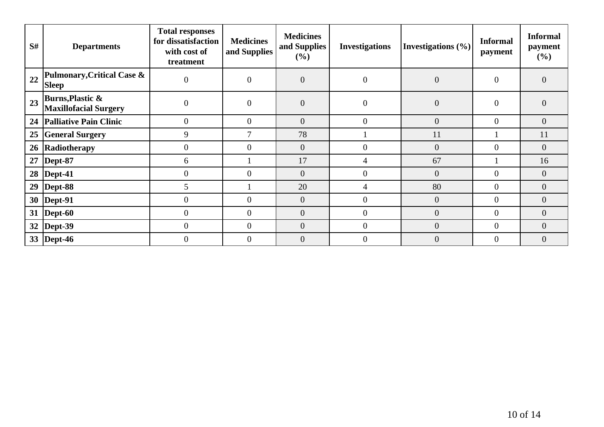| S# | <b>Departments</b>                                          | <b>Total responses</b><br>for dissatisfaction<br>with cost of<br>treatment | <b>Medicines</b><br>and Supplies | <b>Medicines</b><br>and Supplies<br>(%) | <b>Investigations</b> | Investigations $(\% )$ | <b>Informal</b><br>payment | <b>Informal</b><br>payment<br>(%) |
|----|-------------------------------------------------------------|----------------------------------------------------------------------------|----------------------------------|-----------------------------------------|-----------------------|------------------------|----------------------------|-----------------------------------|
| 22 | Pulmonary, Critical Case &<br><b>Sleep</b>                  | $\boldsymbol{0}$                                                           | $\overline{0}$                   | $\boldsymbol{0}$                        | $\overline{0}$        | $\overline{0}$         | $\Omega$                   | $\overline{0}$                    |
| 23 | <b>Burns, Plastic &amp;</b><br><b>Maxillofacial Surgery</b> | $\overline{0}$                                                             | $\overline{0}$                   | $\overline{0}$                          | $\overline{0}$        | $\overline{0}$         | $\Omega$                   | $\overline{0}$                    |
|    | 24   Palliative Pain Clinic                                 | $\overline{0}$                                                             | $\overline{0}$                   | $\overline{0}$                          | $\overline{0}$        | $\overline{0}$         | $\Omega$                   | $\overline{0}$                    |
| 25 | <b>General Surgery</b>                                      | 9                                                                          |                                  | 78                                      |                       | 11                     |                            | 11                                |
|    | 26 Radiotherapy                                             | $\overline{0}$                                                             | $\overline{0}$                   | $\overline{0}$                          | $\overline{0}$        | $\overline{0}$         | $\Omega$                   | $\overline{0}$                    |
| 27 | $\vert$ Dept-87                                             | 6                                                                          |                                  | 17                                      | 4                     | 67                     |                            | 16                                |
|    | $28$ Dept-41                                                | $\overline{0}$                                                             | $\overline{0}$                   | $\overline{0}$                          | $\theta$              | $\overline{0}$         | $\Omega$                   | $\overline{0}$                    |
|    | 29   Dept-88                                                | 5                                                                          |                                  | 20                                      | 4                     | 80                     | 0                          | $\overline{0}$                    |
|    | 30   Dept-91                                                | $\overline{0}$                                                             | $\overline{0}$                   | $\overline{0}$                          | $\overline{0}$        | $\overline{0}$         | $\overline{0}$             | $\overline{0}$                    |
|    | 31   Dept-60                                                | $\boldsymbol{0}$                                                           | $\overline{0}$                   | $\boldsymbol{0}$                        | $\overline{0}$        | $\boldsymbol{0}$       | $\theta$                   | $\boldsymbol{0}$                  |
|    | 32   Dept-39                                                | $\overline{0}$                                                             | $\Omega$                         | $\overline{0}$                          | $\Omega$              | $\overline{0}$         | $\Omega$                   | $\overline{0}$                    |
|    | 33  Dept-46                                                 | $\overline{0}$                                                             | $\overline{0}$                   | $\overline{0}$                          | $\theta$              | $\overline{0}$         | $\Omega$                   | $\overline{0}$                    |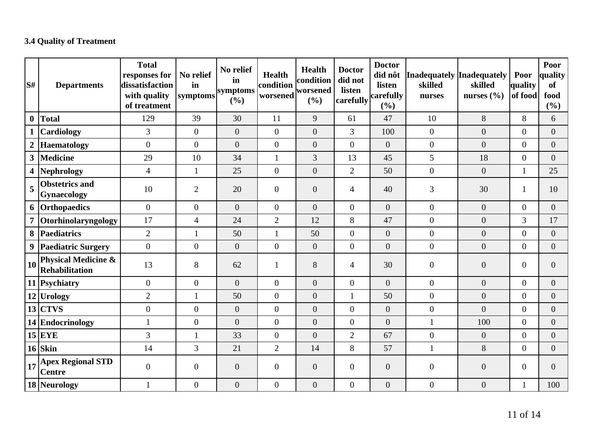# **3.4 Quality of Treatment**

| S#               | <b>Departments</b>                               | <b>Total</b><br>responses for<br>dissatisfaction<br>with quality<br>of treatment | No relief<br>in<br>symptoms | No relief<br>in<br>symptoms<br>(%) | <b>Health</b><br>condition<br>worsened | <b>Health</b><br>condition<br>worsened<br>(%) | <b>Doctor</b><br>did not<br>listen<br>carefully | <b>Doctor</b><br>did nôt<br>listen<br>carefully<br>(%) | Inadequately Inadequately<br>skilled<br>nurses | skilled<br>nurses $(\% )$ | Poor<br>quality<br>of food | Poor<br>quality<br><b>of</b><br>food<br>$(\%)$ |
|------------------|--------------------------------------------------|----------------------------------------------------------------------------------|-----------------------------|------------------------------------|----------------------------------------|-----------------------------------------------|-------------------------------------------------|--------------------------------------------------------|------------------------------------------------|---------------------------|----------------------------|------------------------------------------------|
| $\boldsymbol{0}$ | Total                                            | 129                                                                              | 39                          | 30                                 | 11                                     | 9                                             | 61                                              | 47                                                     | 10                                             | 8                         | 8                          | 6                                              |
| $\mathbf{1}$     | <b>Cardiology</b>                                | 3                                                                                | $\boldsymbol{0}$            | $\boldsymbol{0}$                   | $\mathbf{0}$                           | $\overline{0}$                                | $\overline{3}$                                  | 100                                                    | $\overline{0}$                                 | $\overline{0}$            | $\overline{0}$             | $\overline{0}$                                 |
| $\boldsymbol{2}$ | Haematology                                      | $\boldsymbol{0}$                                                                 | $\boldsymbol{0}$            | $\overline{0}$                     | $\overline{0}$                         | $\overline{0}$                                | $\overline{0}$                                  | $\overline{0}$                                         | $\boldsymbol{0}$                               | $\overline{0}$            | $\mathbf{0}$               | $\boldsymbol{0}$                               |
| $\mathbf{3}$     | Medicine                                         | 29                                                                               | 10                          | 34                                 | 1                                      | 3                                             | 13                                              | 45                                                     | 5                                              | 18                        | $\mathbf{0}$               | $\overline{0}$                                 |
| 4                | Nephrology                                       | $\overline{4}$                                                                   | $\mathbf{1}$                | 25                                 | $\overline{0}$                         | $\overline{0}$                                | $\overline{2}$                                  | 50                                                     | $\overline{0}$                                 | $\overline{0}$            | $\mathbf{1}$               | 25                                             |
| 5                | <b>Obstetrics and</b><br>Gynaecology             | 10                                                                               | 2                           | 20                                 | $\mathbf{0}$                           | $\mathbf{0}$                                  | $\overline{4}$                                  | 40                                                     | 3                                              | 30                        | 1                          | 10                                             |
|                  | 6 Orthopaedics                                   | $\overline{0}$                                                                   | $\overline{0}$              | $\overline{0}$                     | $\overline{0}$                         | $\overline{0}$                                | $\overline{0}$                                  | $\overline{0}$                                         | $\overline{0}$                                 | $\overline{0}$            | $\overline{0}$             | $\overline{0}$                                 |
| $\overline{7}$   | Otorhinolaryngology                              | 17                                                                               | $\overline{4}$              | 24                                 | $\overline{2}$                         | 12                                            | 8                                               | 47                                                     | $\overline{0}$                                 | $\overline{0}$            | 3                          | 17                                             |
|                  | 8 Paediatrics                                    | $\overline{2}$                                                                   | $\mathbf{1}$                | 50                                 | $\mathbf{1}$                           | 50                                            | $\overline{0}$                                  | $\overline{0}$                                         | $\boldsymbol{0}$                               | $\overline{0}$            | $\overline{0}$             | $\overline{0}$                                 |
| $\boldsymbol{9}$ | <b>Paediatric Surgery</b>                        | $\overline{0}$                                                                   | $\overline{0}$              | $\overline{0}$                     | $\overline{0}$                         | $\overline{0}$                                | $\overline{0}$                                  | $\overline{0}$                                         | $\boldsymbol{0}$                               | $\overline{0}$            | $\boldsymbol{0}$           | $\overline{0}$                                 |
| <b>10</b>        | <b>Physical Medicine &amp;</b><br>Rehabilitation | 13                                                                               | 8                           | 62                                 | $\mathbf{1}$                           | 8                                             | $\overline{4}$                                  | 30                                                     | $\mathbf{0}$                                   | $\overline{0}$            | $\overline{0}$             | $\overline{0}$                                 |
|                  | 11 Psychiatry                                    | $\boldsymbol{0}$                                                                 | $\overline{0}$              | $\overline{0}$                     | $\overline{0}$                         | $\overline{0}$                                | $\overline{0}$                                  | $\overline{0}$                                         | $\overline{0}$                                 | $\overline{0}$            | $\overline{0}$             | $\overline{0}$                                 |
|                  | $12$ Urology                                     | $\overline{2}$                                                                   | $\mathbf{1}$                | 50                                 | $\overline{0}$                         | $\overline{0}$                                |                                                 | 50                                                     | $\boldsymbol{0}$                               | $\overline{0}$            | $\overline{0}$             | $\overline{0}$                                 |
|                  | $13$ CTVS                                        | $\boldsymbol{0}$                                                                 | $\overline{0}$              | $\boldsymbol{0}$                   | $\overline{0}$                         | $\overline{0}$                                | $\overline{0}$                                  | $\overline{0}$                                         | $\boldsymbol{0}$                               | $\overline{0}$            | $\boldsymbol{0}$           | $\overline{0}$                                 |
|                  | 14 Endocrinology                                 | $\mathbf{1}$                                                                     | $\overline{0}$              | $\boldsymbol{0}$                   | $\boldsymbol{0}$                       | $\overline{0}$                                | $\overline{0}$                                  | $\overline{0}$                                         | $\mathbf{1}$                                   | 100                       | $\boldsymbol{0}$           | $\boldsymbol{0}$                               |
|                  | $15$ EYE                                         | 3                                                                                | $\mathbf{1}$                | 33                                 | $\overline{0}$                         | $\overline{0}$                                | $\overline{2}$                                  | 67                                                     | $\boldsymbol{0}$                               | $\overline{0}$            | $\overline{0}$             | $\overline{0}$                                 |
|                  | $16$ Skin                                        | 14                                                                               | 3                           | 21                                 | $\overline{2}$                         | 14                                            | 8                                               | 57                                                     | $\mathbf{1}$                                   | $8\,$                     | $\overline{0}$             | $\overline{0}$                                 |
| 17               | <b>Apex Regional STD</b><br><b>Centre</b>        | $\overline{0}$                                                                   | $\overline{0}$              | $\overline{0}$                     | $\overline{0}$                         | $\overline{0}$                                | $\overline{0}$                                  | $\overline{0}$                                         | $\mathbf{0}$                                   | $\overline{0}$            | $\boldsymbol{0}$           | $\overline{0}$                                 |
|                  | 18 Neurology                                     |                                                                                  | $\overline{0}$              | $\overline{0}$                     | $\boldsymbol{0}$                       | $\overline{0}$                                | $\overline{0}$                                  | $\overline{0}$                                         | $\overline{0}$                                 | $\overline{0}$            | $\mathbf{1}$               | 100                                            |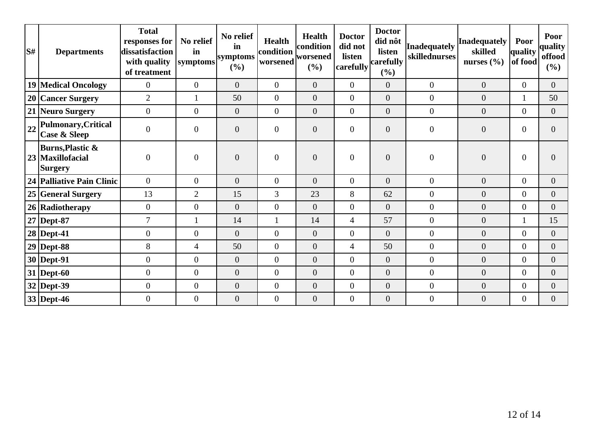| S# | <b>Departments</b>                                                | <b>Total</b><br>responses for<br>dissatisfaction<br>with quality<br>of treatment | No relief<br>in<br>symptoms | No relief<br>in<br>symptoms<br>(%) | <b>Health</b><br>condition<br>worsened | Health<br>condition<br>worsened<br>$(\%)$ | <b>Doctor</b><br>did not<br>listen<br>carefully | <b>Doctor</b><br>did nôt<br>listen<br>carefully<br>(%) | Inadequately<br>skillednurses | Inadequately<br>skilled<br>nurses $(\% )$ | Poor<br>quality<br>of food | Poor<br>quality<br>offood<br>(%) |
|----|-------------------------------------------------------------------|----------------------------------------------------------------------------------|-----------------------------|------------------------------------|----------------------------------------|-------------------------------------------|-------------------------------------------------|--------------------------------------------------------|-------------------------------|-------------------------------------------|----------------------------|----------------------------------|
|    | 19 Medical Oncology                                               | $\overline{0}$                                                                   | $\overline{0}$              | $\overline{0}$                     | $\Omega$                               | $\overline{0}$                            | $\overline{0}$                                  | $\overline{0}$                                         | $\overline{0}$                | $\overline{0}$                            | $\overline{0}$             | $\Omega$                         |
|    | 20 Cancer Surgery                                                 | $\overline{2}$                                                                   |                             | 50                                 | $\overline{0}$                         | $\overline{0}$                            | $\overline{0}$                                  | $\overline{0}$                                         | $\boldsymbol{0}$              | $\mathbf{0}$                              | $\mathbf{1}$               | 50                               |
|    | 21 Neuro Surgery                                                  | $\overline{0}$                                                                   | $\overline{0}$              | $\overline{0}$                     | $\theta$                               | $\overline{0}$                            | $\overline{0}$                                  | $\overline{0}$                                         | $\overline{0}$                | $\overline{0}$                            | $\overline{0}$             | $\overline{0}$                   |
| 22 | Pulmonary, Critical<br><b>Case &amp; Sleep</b>                    | $\overline{0}$                                                                   | $\boldsymbol{0}$            | $\overline{0}$                     | $\theta$                               | $\overline{0}$                            | $\overline{0}$                                  | $\overline{0}$                                         | $\overline{0}$                | $\boldsymbol{0}$                          | $\overline{0}$             | $\theta$                         |
|    | <b>Burns, Plastic &amp;</b><br>23 Maxillofacial<br><b>Surgery</b> | $\overline{0}$                                                                   | $\boldsymbol{0}$            | $\overline{0}$                     | $\overline{0}$                         | $\overline{0}$                            | $\overline{0}$                                  | $\overline{0}$                                         | $\boldsymbol{0}$              | $\overline{0}$                            | $\mathbf{0}$               | $\Omega$                         |
|    | 24   Palliative Pain Clinic                                       | $\overline{0}$                                                                   | $\boldsymbol{0}$            | $\overline{0}$                     | $\overline{0}$                         | $\overline{0}$                            | $\overline{0}$                                  | $\overline{0}$                                         | $\boldsymbol{0}$              | $\overline{0}$                            | $\overline{0}$             | $\overline{0}$                   |
|    | 25 General Surgery                                                | 13                                                                               | $\overline{2}$              | 15                                 | 3                                      | 23                                        | 8                                               | 62                                                     | $\overline{0}$                | $\overline{0}$                            | $\overline{0}$             | $\overline{0}$                   |
|    | 26 Radiotherapy                                                   | $\overline{0}$                                                                   | $\overline{0}$              | $\overline{0}$                     | $\overline{0}$                         | $\overline{0}$                            | $\overline{0}$                                  | $\overline{0}$                                         | $\overline{0}$                | $\overline{0}$                            | $\Omega$                   | $\theta$                         |
|    | $27$ Dept-87                                                      | 7                                                                                |                             | 14                                 | $\mathbf{1}$                           | 14                                        | 4                                               | 57                                                     | $\overline{0}$                | $\mathbf{0}$                              | $\mathbf{1}$               | 15                               |
|    | $28$ Dept-41                                                      | $\overline{0}$                                                                   | $\overline{0}$              | $\overline{0}$                     | $\overline{0}$                         | $\overline{0}$                            | $\overline{0}$                                  | $\overline{0}$                                         | $\boldsymbol{0}$              | $\boldsymbol{0}$                          | $\overline{0}$             | $\overline{0}$                   |
|    | $29$ Dept-88                                                      | 8                                                                                | $\overline{4}$              | 50                                 | $\overline{0}$                         | $\overline{0}$                            | $\overline{4}$                                  | 50                                                     | $\overline{0}$                | $\mathbf{0}$                              | $\Omega$                   | $\overline{0}$                   |
|    | $30$ Dept-91                                                      | $\overline{0}$                                                                   | $\overline{0}$              | $\overline{0}$                     | $\theta$                               | $\overline{0}$                            | $\Omega$                                        | $\overline{0}$                                         | $\overline{0}$                | $\overline{0}$                            | $\Omega$                   | $\Omega$                         |
|    | $31$ Dept-60                                                      | $\overline{0}$                                                                   | $\overline{0}$              | $\overline{0}$                     | $\theta$                               | $\overline{0}$                            | $\overline{0}$                                  | $\overline{0}$                                         | $\overline{0}$                | $\overline{0}$                            | $\Omega$                   | $\Omega$                         |
|    | 32 Dept-39                                                        | $\mathbf{0}$                                                                     | $\overline{0}$              | $\boldsymbol{0}$                   | $\theta$                               | $\overline{0}$                            | $\overline{0}$                                  | $\overline{0}$                                         | $\overline{0}$                | $\overline{0}$                            | $\overline{0}$             | $\overline{0}$                   |
|    | 33 Dept-46                                                        | $\overline{0}$                                                                   | $\boldsymbol{0}$            | $\overline{0}$                     | $\overline{0}$                         | $\overline{0}$                            | $\overline{0}$                                  | $\overline{0}$                                         | $\overline{0}$                | $\overline{0}$                            | $\overline{0}$             | $\overline{0}$                   |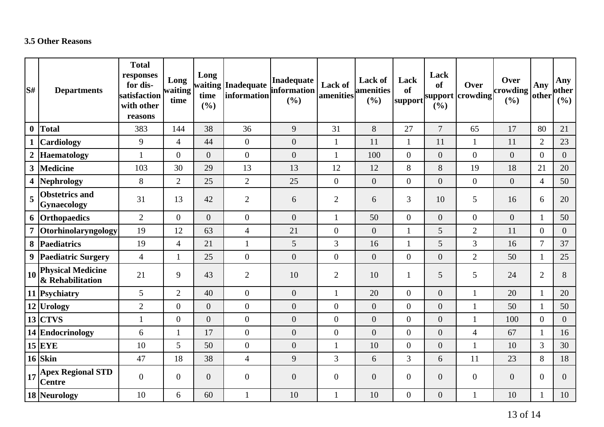### **3.5 Other Reasons**

| S#                      | <b>Departments</b>                           | <b>Total</b><br>responses<br>for dis-<br>satisfaction<br>with other<br>reasons | Long<br>waiting<br>time | Long<br>time<br>(%) | waiting Inadequate<br>information | <b>Inadequate</b><br>information<br>(%) | Lack of<br>amenities | <b>Lack of</b><br>amenities<br>(%) | Lack<br><b>of</b><br> support | Lack<br><b>of</b><br>(%) | Over<br>support crowding | Over<br>crowding<br>(%) | Any<br>other   | Any<br>other<br>(%) |
|-------------------------|----------------------------------------------|--------------------------------------------------------------------------------|-------------------------|---------------------|-----------------------------------|-----------------------------------------|----------------------|------------------------------------|-------------------------------|--------------------------|--------------------------|-------------------------|----------------|---------------------|
| $\bf{0}$                | Total                                        | 383                                                                            | 144                     | 38                  | 36                                | 9                                       | 31                   | 8                                  | 27                            | $\overline{7}$           | 65                       | 17                      | 80             | 21                  |
| $\mathbf{1}$            | <b>Cardiology</b>                            | 9                                                                              | $\overline{4}$          | 44                  | $\overline{0}$                    | $\boldsymbol{0}$                        | $\mathbf{1}$         | 11                                 | 1                             | 11                       | $\mathbf{1}$             | 11                      | $\overline{2}$ | 23                  |
| $\boldsymbol{2}$        | <b>Haematology</b>                           | $\mathbf{1}$                                                                   | $\overline{0}$          | $\overline{0}$      | $\overline{0}$                    | $\boldsymbol{0}$                        | $\mathbf{1}$         | 100                                | $\overline{0}$                | $\overline{0}$           | $\overline{0}$           | $\overline{0}$          | $\overline{0}$ | $\overline{0}$      |
| $\mathbf{3}$            | Medicine                                     | 103                                                                            | 30                      | 29                  | 13                                | 13                                      | 12                   | 12                                 | 8                             | $8\,$                    | 19                       | 18                      | 21             | 20                  |
| $\overline{\mathbf{4}}$ | Nephrology                                   | 8                                                                              | $\overline{2}$          | 25                  | $\overline{2}$                    | 25                                      | $\boldsymbol{0}$     | $\overline{0}$                     | $\overline{0}$                | $\overline{0}$           | $\theta$                 | $\overline{0}$          | $\overline{4}$ | 50                  |
| 5                       | <b>Obstetrics and</b><br>Gynaecology         | 31                                                                             | 13                      | 42                  | $\overline{2}$                    | 6                                       | $\overline{2}$       | 6                                  | 3                             | 10                       | 5                        | 16                      | 6              | 20                  |
|                         | 6 Orthopaedics                               | $\overline{2}$                                                                 | $\overline{0}$          | $\overline{0}$      | $\overline{0}$                    | $\overline{0}$                          | $\mathbf{1}$         | 50                                 | $\overline{0}$                | $\overline{0}$           | $\overline{0}$           | $\overline{0}$          | $\mathbf{1}$   | 50                  |
| $\overline{7}$          | Otorhinolaryngology                          | 19                                                                             | 12                      | 63                  | $\overline{4}$                    | 21                                      | $\boldsymbol{0}$     | $\overline{0}$                     | 1                             | 5                        | $\overline{2}$           | 11                      | $\overline{0}$ | $\overline{0}$      |
|                         | 8 Paediatrics                                | 19                                                                             | $\overline{4}$          | 21                  | $\mathbf{1}$                      | 5                                       | 3                    | 16                                 | $\mathbf{1}$                  | 5                        | $\overline{3}$           | 16                      | $\tau$         | 37                  |
| $\boldsymbol{9}$        | <b>Paediatric Surgery</b>                    | $\overline{4}$                                                                 | $\mathbf{1}$            | 25                  | $\overline{0}$                    | $\boldsymbol{0}$                        | $\boldsymbol{0}$     | $\overline{0}$                     | $\overline{0}$                | $\overline{0}$           | $\overline{2}$           | 50                      | $\mathbf{1}$   | 25                  |
| $\vert$ 10              | <b>Physical Medicine</b><br>& Rehabilitation | 21                                                                             | 9                       | 43                  | $\overline{2}$                    | 10                                      | $\mathbf{2}$         | 10                                 | 1                             | 5                        | 5                        | 24                      | $\overline{2}$ | 8                   |
|                         | 11 Psychiatry                                | 5                                                                              | $\overline{2}$          | 40                  | $\overline{0}$                    | $\boldsymbol{0}$                        | $\mathbf{1}$         | 20                                 | $\overline{0}$                | $\overline{0}$           | $\mathbf{1}$             | 20                      | $\mathbf{1}$   | 20                  |
|                         | 12 Urology                                   | $\overline{2}$                                                                 | $\overline{0}$          | $\overline{0}$      | $\overline{0}$                    | $\boldsymbol{0}$                        | $\boldsymbol{0}$     | $\overline{0}$                     | $\overline{0}$                | $\overline{0}$           | $\mathbf{1}$             | 50                      | 1              | 50                  |
|                         | $13$ CTVS                                    | $\mathbf{1}$                                                                   | $\mathbf{0}$            | $\overline{0}$      | $\boldsymbol{0}$                  | $\overline{0}$                          | $\overline{0}$       | $\overline{0}$                     | $\overline{0}$                | $\overline{0}$           | $\mathbf{1}$             | 100                     | $\overline{0}$ | $\overline{0}$      |
|                         | 14 Endocrinology                             | 6                                                                              | $\mathbf{1}$            | 17                  | $\overline{0}$                    | $\boldsymbol{0}$                        | $\boldsymbol{0}$     | $\overline{0}$                     | $\overline{0}$                | $\boldsymbol{0}$         | $\overline{4}$           | 67                      | $\mathbf{1}$   | 16                  |
|                         | $15$ EYE                                     | 10                                                                             | 5                       | 50                  | $\overline{0}$                    | $\boldsymbol{0}$                        | $\mathbf{1}$         | 10                                 | $\overline{0}$                | $\boldsymbol{0}$         | $\mathbf{1}$             | 10                      | 3              | 30                  |
|                         | $16$ Skin                                    | 47                                                                             | 18                      | 38                  | $\overline{4}$                    | $\mathbf{9}$                            | 3                    | 6                                  | 3                             | 6                        | 11                       | 23                      | 8              | 18                  |
| 17                      | <b>Apex Regional STD</b><br><b>Centre</b>    | $\boldsymbol{0}$                                                               | $\mathbf{0}$            | $\overline{0}$      | $\boldsymbol{0}$                  | $\boldsymbol{0}$                        | $\boldsymbol{0}$     | $\overline{0}$                     | $\overline{0}$                | $\boldsymbol{0}$         | $\overline{0}$           | $\overline{0}$          | $\overline{0}$ | $\overline{0}$      |
|                         | 18 Neurology                                 | 10                                                                             | 6                       | 60                  |                                   | 10                                      | $\mathbf{1}$         | 10                                 | $\overline{0}$                | $\boldsymbol{0}$         | 1                        | 10                      | 1              | 10                  |